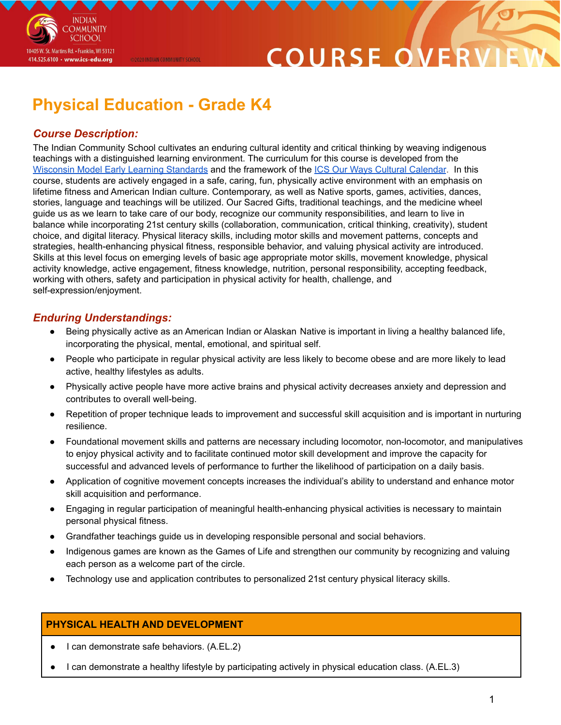

## **Physical Education - Grade K4**

@2020 INDIAN COMMUNITY SCHOOL

### *Course Description:*

**INDIAN OMMUNITY SCHOOL** 

10405 W. St. Martins Rd. • Franklin, WI 53121 414.525.6100 · www.ics-edu.org

The Indian Community School cultivates an enduring cultural identity and critical thinking by weaving indigenous teachings with a distinguished learning environment. The curriculum for this course is developed from the [Wisconsin](https://dpi.wi.gov/sites/default/files/imce/early-childhood/wmels_5theditionfinal.pdf) Model Early Learning Standards and the framework of the ICS Our Ways Cultural [Calendar](https://drive.google.com/open?id=0B7pONXiRIufTT3VHOXBBeG9USHMzbDNIUi1nV0NTbURCMFRZ). In this course, students are actively engaged in a safe, caring, fun, physically active environment with an emphasis on lifetime fitness and American Indian culture. Contemporary, as well as Native sports, games, activities, dances, stories, language and teachings will be utilized. Our Sacred Gifts, traditional teachings, and the medicine wheel guide us as we learn to take care of our body, recognize our community responsibilities, and learn to live in balance while incorporating 21st century skills (collaboration, communication, critical thinking, creativity), student choice, and digital literacy. Physical literacy skills, including motor skills and movement patterns, concepts and strategies, health-enhancing physical fitness, responsible behavior, and valuing physical activity are introduced. Skills at this level focus on emerging levels of basic age appropriate motor skills, movement knowledge, physical activity knowledge, active engagement, fitness knowledge, nutrition, personal responsibility, accepting feedback, working with others, safety and participation in physical activity for health, challenge, and self-expression/enjoyment.

#### *Enduring Understandings:*

- Being physically active as an American Indian or Alaskan Native is important in living a healthy balanced life, incorporating the physical, mental, emotional, and spiritual self.
- People who participate in regular physical activity are less likely to become obese and are more likely to lead active, healthy lifestyles as adults.
- Physically active people have more active brains and physical activity decreases anxiety and depression and contributes to overall well-being.
- Repetition of proper technique leads to improvement and successful skill acquisition and is important in nurturing resilience.
- Foundational movement skills and patterns are necessary including locomotor, non-locomotor, and manipulatives to enjoy physical activity and to facilitate continued motor skill development and improve the capacity for successful and advanced levels of performance to further the likelihood of participation on a daily basis.
- Application of cognitive movement concepts increases the individual's ability to understand and enhance motor skill acquisition and performance.
- Engaging in regular participation of meaningful health-enhancing physical activities is necessary to maintain personal physical fitness.
- Grandfather teachings guide us in developing responsible personal and social behaviors.
- Indigenous games are known as the Games of Life and strengthen our community by recognizing and valuing each person as a welcome part of the circle.
- Technology use and application contributes to personalized 21st century physical literacy skills.

#### **PHYSICAL HEALTH AND DEVELOPMENT**

- I can demonstrate safe behaviors. (A.EL.2)
- I can demonstrate a healthy lifestyle by participating actively in physical education class. (A.EL.3)